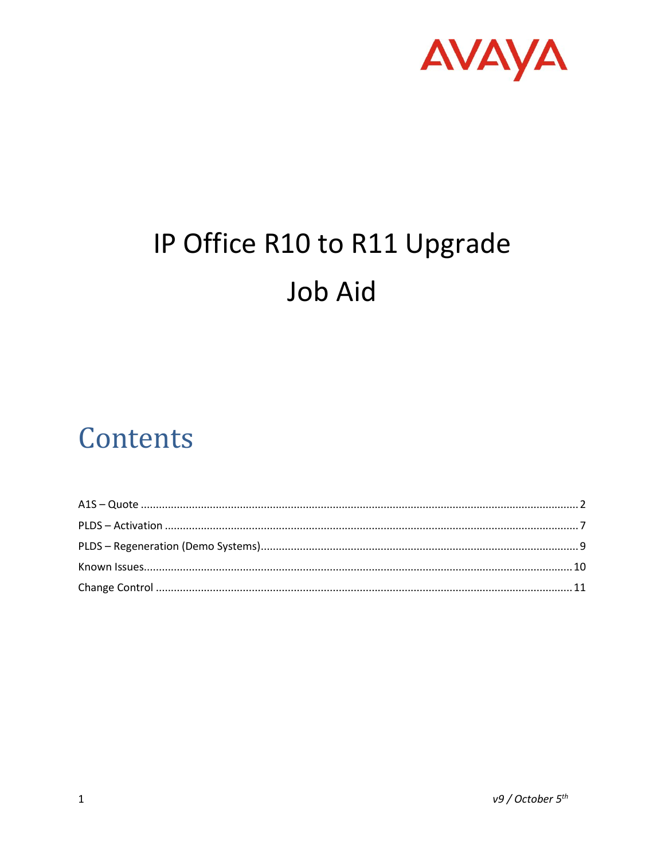

# IP Office R10 to R11 Upgrade **Job Aid**

## Contents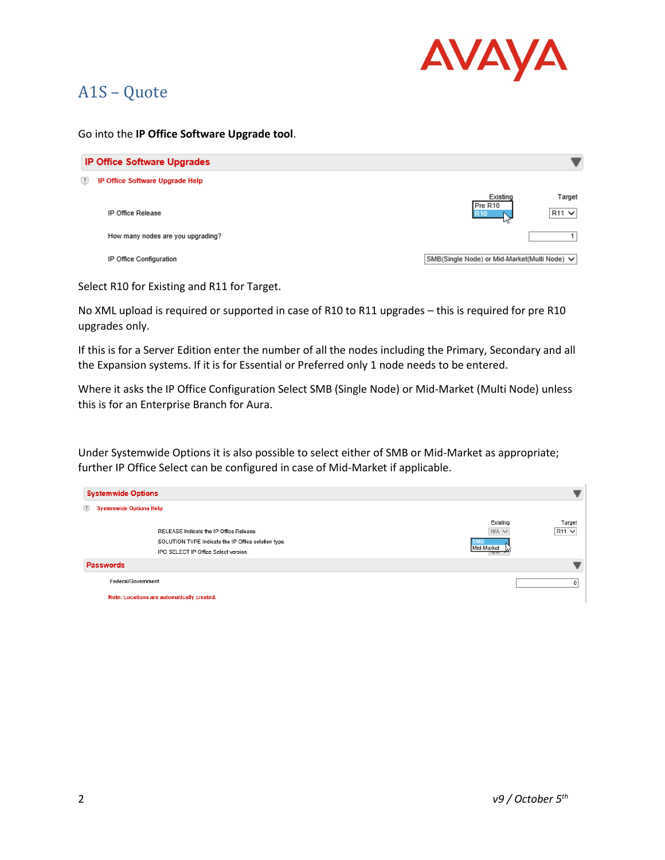

## <span id="page-1-0"></span>A1S – Quote

#### Go into the **IP Office Software Upgrade tool**.

| <b>IP Office Software Upgrades</b>     |                                                                   |  |  |  |
|----------------------------------------|-------------------------------------------------------------------|--|--|--|
| (?)<br>IP Office Software Upgrade Help |                                                                   |  |  |  |
| IP Office Release                      | Existing<br>Target<br>Pre R10<br>$R11$ $\vee$<br><b>R10</b><br>uг |  |  |  |
| How many nodes are you upgrading?      |                                                                   |  |  |  |
| IP Office Configuration                | SMB(Single Node) or Mid-Market(Multi Node) ↓                      |  |  |  |

Select R10 for Existing and R11 for Target.

No XML upload is required or supported in case of R10 to R11 upgrades – this is required for pre R10 upgrades only.

If this is for a Server Edition enter the number of all the nodes including the Primary, Secondary and all the Expansion systems. If it is for Essential or Preferred only 1 node needs to be entered.

Where it asks the IP Office Configuration Select SMB (Single Node) or Mid-Market (Multi Node) unless this is for an Enterprise Branch for Aura.

Under Systemwide Options it is also possible to select either of SMB or Mid-Market as appropriate; further IP Office Select can be configured in case of Mid-Market if applicable.

|                                            | <b>Systemwide Options</b>                                                                                                              |                                                    |                        |  |  |
|--------------------------------------------|----------------------------------------------------------------------------------------------------------------------------------------|----------------------------------------------------|------------------------|--|--|
| $^{(2)}$<br><b>Systemwide Options Help</b> |                                                                                                                                        |                                                    |                        |  |  |
|                                            | RELEASE Indicate the IP Office Release.<br>SOLUTION TYPE Indicate the IP Office solution type.<br>IPO SELECT IP Office Select version. | Existing<br>$N/A \vee$<br><b>SMB</b><br>Mid-Market | Target<br>$R11$ $\vee$ |  |  |
| Passwords                                  |                                                                                                                                        |                                                    |                        |  |  |
| Federal/Government                         |                                                                                                                                        |                                                    |                        |  |  |
| Note: Locations are automatically created. |                                                                                                                                        |                                                    |                        |  |  |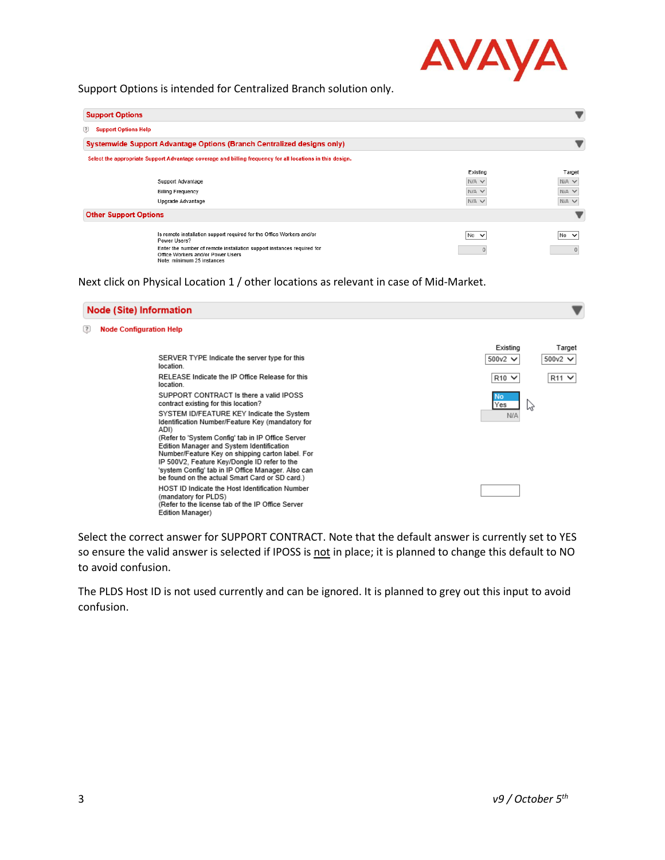

Support Options is intended for Centralized Branch solution only.

| <b>Support Options</b>                    |                                                                                                                                           |             |              |  |
|-------------------------------------------|-------------------------------------------------------------------------------------------------------------------------------------------|-------------|--------------|--|
| $\sqrt{2}$<br><b>Support Options Help</b> |                                                                                                                                           |             |              |  |
|                                           | Systemwide Support Advantage Options (Branch Centralized designs only)                                                                    |             |              |  |
|                                           | Select the appropriate Support Advantage coverage and billing frequency for all locations in this design.                                 |             |              |  |
|                                           |                                                                                                                                           | Existing    | Target       |  |
|                                           | Support Advantage                                                                                                                         | $N/A \vee$  | $N/A$ $\vee$ |  |
|                                           | <b>Billing Frequency</b>                                                                                                                  | $N/A \vee$  | $N/A$ $\vee$ |  |
|                                           | Upgrade Advantage                                                                                                                         | $N/A \vee$  | $N/A$ $\vee$ |  |
| <b>Other Support Options</b>              |                                                                                                                                           |             |              |  |
|                                           | Is remote installation support required for the Office Workers and/or<br>Power Users?                                                     | $No$ $\vee$ | $No$ $\vee$  |  |
|                                           | Enter the number of remote installation support instances required for<br>Office Workers and/or Power Users<br>Note: minimum 25 instances |             |              |  |

Next click on Physical Location 1 / other locations as relevant in case of Mid-Market.

|    | <b>Node (Site) Information</b>                                                                                                                                                                                                                                                                                                                                                                                                                                                                         |                               |                            |
|----|--------------------------------------------------------------------------------------------------------------------------------------------------------------------------------------------------------------------------------------------------------------------------------------------------------------------------------------------------------------------------------------------------------------------------------------------------------------------------------------------------------|-------------------------------|----------------------------|
| 12 | <b>Node Configuration Help</b>                                                                                                                                                                                                                                                                                                                                                                                                                                                                         |                               |                            |
|    | SERVER TYPE Indicate the server type for this<br>location.                                                                                                                                                                                                                                                                                                                                                                                                                                             | Existing<br>500 $v$ 2 $\vee$  | Target<br>500 $v$ 2 $\vee$ |
|    | RELEASE Indicate the IP Office Release for this<br>location.                                                                                                                                                                                                                                                                                                                                                                                                                                           | $R10 \vee$                    | $R11$ $\vee$               |
|    | SUPPORT CONTRACT Is there a valid IPOSS<br>contract existing for this location?<br>SYSTEM ID/FEATURE KEY Indicate the System<br>Identification Number/Feature Key (mandatory for<br>ADI)<br>(Refer to 'System Config' tab in IP Office Server<br>Edition Manager and System Identification<br>Number/Feature Key on shipping carton label. For<br>IP 500V2, Feature Key/Dongle ID refer to the<br>'system Config' tab in IP Office Manager. Also can<br>be found on the actual Smart Card or SD card.) | No<br>Yes<br>hş<br><b>N/A</b> |                            |
|    | <b>HOST ID Indicate the Host Identification Number</b><br>(mandatory for PLDS)<br>(Refer to the license tab of the IP Office Server<br>Edition Manager)                                                                                                                                                                                                                                                                                                                                                |                               |                            |

Select the correct answer for SUPPORT CONTRACT. Note that the default answer is currently set to YES so ensure the valid answer is selected if IPOSS is not in place; it is planned to change this default to NO to avoid confusion.

The PLDS Host ID is not used currently and can be ignored. It is planned to grey out this input to avoid confusion.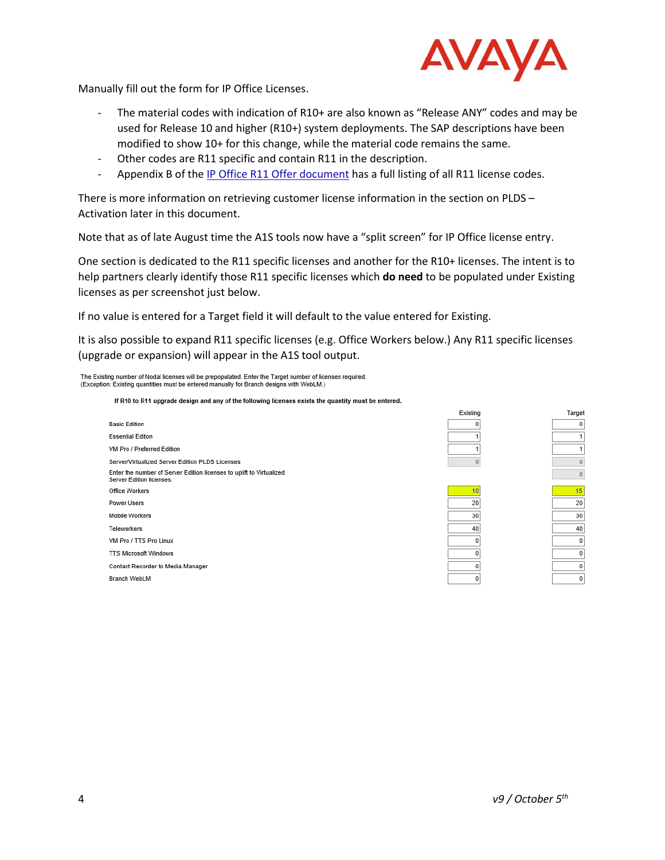

Manually fill out the form for IP Office Licenses.

- The material codes with indication of R10+ are also known as "Release ANY" codes and may be used for Release 10 and higher (R10+) system deployments. The SAP descriptions have been modified to show 10+ for this change, while the material code remains the same.
- Other codes are R11 specific and contain R11 in the description.
- Appendix B of the [IP Office R11 Offer document](https://sales.avaya.com/documents/1399680861662) has a full listing of all R11 license codes.

There is more information on retrieving customer license information in the section on [PLDS](#page-6-0) – [Activation](#page-6-0) later in this document.

Note that as of late August time the A1S tools now have a "split screen" for IP Office license entry.

One section is dedicated to the R11 specific licenses and another for the R10+ licenses. The intent is to help partners clearly identify those R11 specific licenses which **do need** to be populated under Existing licenses as per screenshot just below.

If no value is entered for a Target field it will default to the value entered for Existing.

It is also possible to expand R11 specific licenses (e.g. Office Workers below.) Any R11 specific licenses (upgrade or expansion) will appear in the A1S tool output.

The Existing number of Nodal licenses will be prepopulated. Enter the Target number of licenses required. (Exception: Existing quantities must be entered manually for Branch designs with WebLM.)

If R10 to R11 upgrade design and any of the following licenses exists the quantity must be entered.

| <b>Basic Edition</b>                                                                             |
|--------------------------------------------------------------------------------------------------|
| <b>Essential Editon</b>                                                                          |
| VM Pro / Preferred Edition                                                                       |
| Server/Virtualized Server Edition PLDS Licenses                                                  |
| Enter the number of Server Edition licenses to uplift to Virtualized<br>Server Edition licenses. |
| Office Workers                                                                                   |
| Power Users                                                                                      |
| Mobile Workers                                                                                   |
| <b>Teleworkers</b>                                                                               |
| VM Pro / TTS Pro Linux                                                                           |
| <b>TTS Microsoft Windows</b>                                                                     |
| Contact Recorder to Media Manager                                                                |
| <b>Branch WebLM</b>                                                                              |





| Target         |  |
|----------------|--|
| 0              |  |
| 1              |  |
| 1              |  |
| $\Omega$       |  |
| $\overline{0}$ |  |
|                |  |
| 15             |  |
|                |  |
| 20             |  |
| 30             |  |
| 40             |  |
| 0              |  |
| 0              |  |
| 0              |  |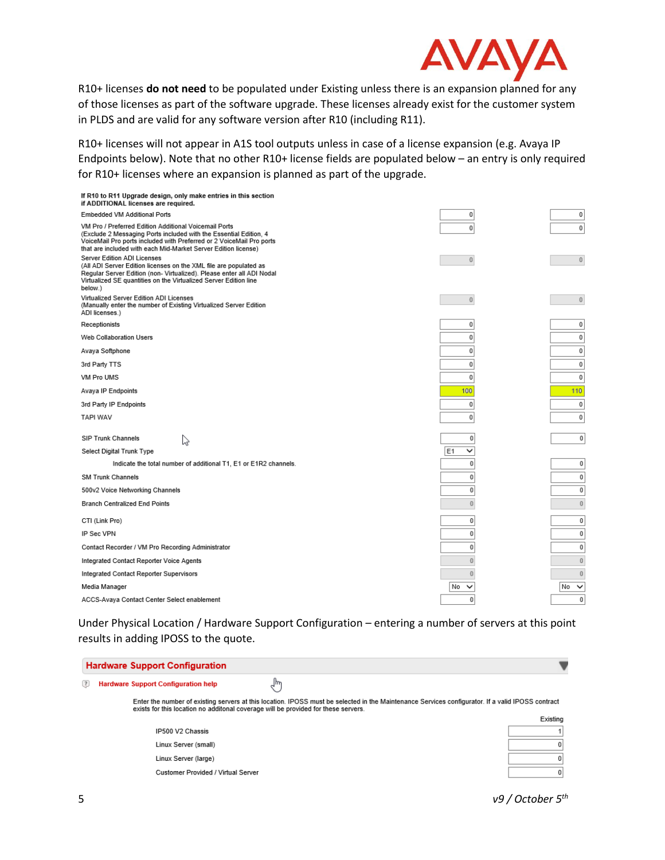

R10+ licenses **do not need** to be populated under Existing unless there is an expansion planned for any of those licenses as part of the software upgrade. These licenses already exist for the customer system in PLDS and are valid for any software version after R10 (including R11).

R10+ licenses will not appear in A1S tool outputs unless in case of a license expansion (e.g. Avaya IP Endpoints below). Note that no other R10+ license fields are populated below – an entry is only required for R10+ licenses where an expansion is planned as part of the upgrade.

| If R10 to R11 Upgrade design, only make entries in this section<br>if ADDITIONAL licenses are required.                                                                                                                                                              |                     |                    |
|----------------------------------------------------------------------------------------------------------------------------------------------------------------------------------------------------------------------------------------------------------------------|---------------------|--------------------|
| Embedded VM Additional Ports                                                                                                                                                                                                                                         | $\mathbf 0$         | 0                  |
| VM Pro / Preferred Edition Additional Voicemail Ports<br>(Exclude 2 Messaging Ports included with the Essential Edition, 4<br>VoiceMail Pro ports included with Preferred or 2 VoiceMail Pro ports<br>that are included with each Mid-Market Server Edition license) | $\mathbf 0$         | $\mathbf 0$        |
| Server Edition ADI Licenses<br>(All ADI Server Edition licenses on the XML file are populated as<br>Regular Server Edition (non- Virtualized). Please enter all ADI Nodal<br>Virtualized SE quantities on the Virtualized Server Edition line<br>below.)             | $\overline{0}$      | $\bf{0}$           |
| Virtualized Server Edition ADI Licenses<br>(Manually enter the number of Existing Virtualized Server Edition<br>ADI licenses.)                                                                                                                                       | $\overline{0}$      | $\overline{0}$     |
| Receptionists                                                                                                                                                                                                                                                        | 0                   | 0                  |
| Web Collaboration Users                                                                                                                                                                                                                                              | $\mathbf 0$         | 0                  |
| Avaya Softphone                                                                                                                                                                                                                                                      | $\overline{0}$      | 0                  |
| 3rd Party TTS                                                                                                                                                                                                                                                        | $\bf{0}$            | 0                  |
| VM Pro UMS                                                                                                                                                                                                                                                           | 0                   | 0                  |
| Avaya IP Endpoints                                                                                                                                                                                                                                                   | 100                 | 110                |
| 3rd Party IP Endpoints                                                                                                                                                                                                                                               | $\bf{0}$            | 0                  |
| <b>TAPI WAV</b>                                                                                                                                                                                                                                                      | $\overline{0}$      | 0                  |
|                                                                                                                                                                                                                                                                      |                     |                    |
| <b>SIP Trunk Channels</b><br>B                                                                                                                                                                                                                                       | 0                   | $\bf{0}$           |
| Select Digital Trunk Type                                                                                                                                                                                                                                            | E <sub>1</sub><br>◡ |                    |
| Indicate the total number of additional T1, E1 or E1R2 channels.                                                                                                                                                                                                     | 0                   | $\mathbf{0}$       |
| <b>SM Trunk Channels</b>                                                                                                                                                                                                                                             | 0                   | 0                  |
| 500v2 Voice Networking Channels                                                                                                                                                                                                                                      | 0                   | $\bf{0}$           |
| <b>Branch Centralized End Points</b>                                                                                                                                                                                                                                 | $\overline{0}$      | $\bf{0}$           |
| CTI (Link Pro)                                                                                                                                                                                                                                                       | 0                   | $\bf{0}$           |
| IP Sec VPN                                                                                                                                                                                                                                                           | 0                   | 0                  |
| Contact Recorder / VM Pro Recording Administrator                                                                                                                                                                                                                    | 0                   | $\mathbf{0}$       |
| Integrated Contact Reporter Voice Agents                                                                                                                                                                                                                             | $\overline{0}$      | $\bf{0}$           |
| Integrated Contact Reporter Supervisors                                                                                                                                                                                                                              | 0                   | $\bf{0}$           |
| Media Manager                                                                                                                                                                                                                                                        | No<br>$\checkmark$  | No<br>$\checkmark$ |
| ACCS-Avaya Contact Center Select enablement                                                                                                                                                                                                                          | 0                   | $\mathbf{0}$       |
|                                                                                                                                                                                                                                                                      |                     |                    |

Under Physical Location / Hardware Support Configuration – entering a number of servers at this point results in adding IPOSS to the quote.

| <b>Hardware Support Configuration</b>                                              |                                                                                                                                                   |          |
|------------------------------------------------------------------------------------|---------------------------------------------------------------------------------------------------------------------------------------------------|----------|
| $\left( 3\right)$<br><b>Hardware Support Configuration help</b>                    |                                                                                                                                                   |          |
| exists for this location no additonal coverage will be provided for these servers. | Enter the number of existing servers at this location. IPOSS must be selected in the Maintenance Services configurator. If a valid IPOSS contract |          |
|                                                                                    |                                                                                                                                                   | Existing |
| IP500 V2 Chassis                                                                   |                                                                                                                                                   |          |
| Linux Server (small)                                                               |                                                                                                                                                   |          |
| Linux Server (large)                                                               |                                                                                                                                                   |          |
| Customer Provided / Virtual Server                                                 |                                                                                                                                                   |          |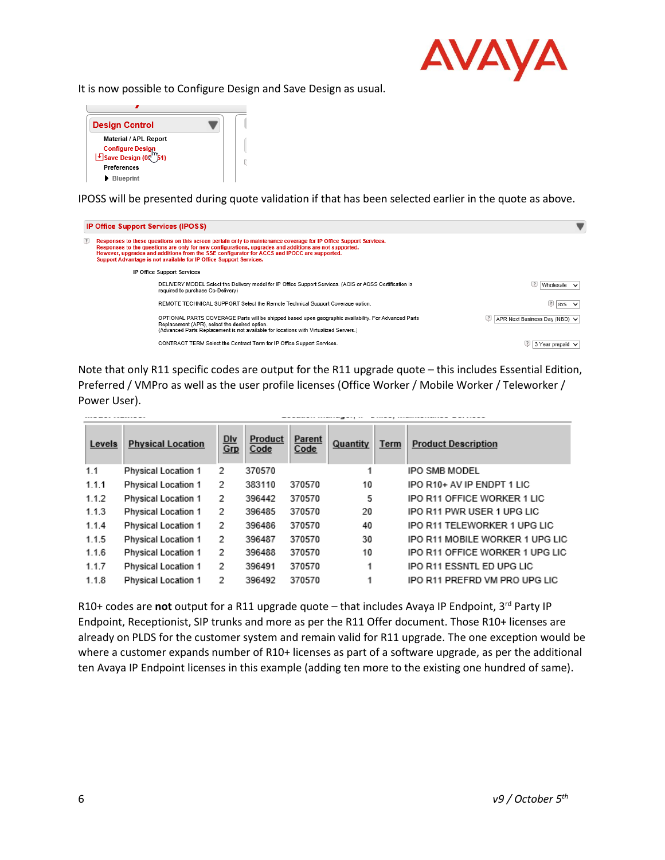

It is now possible to Configure Design and Save Design as usual.



IPOSS will be presented during quote validation if that has been selected earlier in the quote as above.

|                    | <b>IP Office Support Services (IPOSS)</b>                                                                                                                                                                                                                                                                                                                                                      |                                |
|--------------------|------------------------------------------------------------------------------------------------------------------------------------------------------------------------------------------------------------------------------------------------------------------------------------------------------------------------------------------------------------------------------------------------|--------------------------------|
| $\left( 3 \right)$ | Responses to these questions on this screen pertain only to maintenance coverage for IP Office Support Services.<br>Responses to the questions are only for new configurations, upgrades and additions are not supported.<br>However, upgrades and additions from the SSE configurator for ACCS and IPOCC are supported.<br>Support Advantage is not available for IP Office Support Services. |                                |
|                    | <b>IP Office Support Services</b>                                                                                                                                                                                                                                                                                                                                                              |                                |
|                    | DELIVERY MODEL Select the Delivery model for IP Office Support Services. (ACIS or ACSS Certification is<br>required to purchase Co-Delivery)                                                                                                                                                                                                                                                   | $\left( 3\right)$<br>Wholesale |
|                    | REMOTE TECHNICAL SUPPORT Select the Remote Technical Support Coverage option.                                                                                                                                                                                                                                                                                                                  | 8x5                            |
|                    | OPTIONAL PARTS COVERAGE Parts will be shipped based upon geographic availability. For Advanced Parts<br>Replacement (APR), select the desired option.<br>(Advanced Parts Replacement is not available for locations with Virtualized Servers.)                                                                                                                                                 | APR Next Business Day (NBD) ↓  |
|                    | CONTRACT TERM Select the Contract Term for IP Office Support Services.                                                                                                                                                                                                                                                                                                                         | 3 Year prepaid V               |

Note that only R11 specific codes are output for the R11 upgrade quote – this includes Essential Edition, Preferred / VMPro as well as the user profile licenses (Office Worker / Mobile Worker / Teleworker / Power User).

 $\rightarrow -$ 

4

| Levels | <b>Physical Location</b>   | <u>Dlv</u><br>Grp | Product<br>Code | Parent<br>Code | Quantity | Term | <b>Product Description</b>      |
|--------|----------------------------|-------------------|-----------------|----------------|----------|------|---------------------------------|
| 1.1    | <b>Physical Location 1</b> | 2                 | 370570          |                |          |      | <b>IPO SMB MODEL</b>            |
| 1.1.1  | Physical Location 1        | 2                 | 383110          | 370570         | 10       |      | IPO R10+ AV IP ENDPT 1 LIC      |
| 1.1.2  | Physical Location 1        | 2                 | 396442          | 370570         | 5        |      | IPO R11 OFFICE WORKER 1 LIC     |
| 1.1.3  | <b>Physical Location 1</b> | 2                 | 396485          | 370570         | 20       |      | IPO R11 PWR USER 1 UPG LIC      |
| 1.1.4  | <b>Physical Location 1</b> | 2                 | 396486          | 370570         | 40       |      | IPO R11 TELEWORKER 1 UPG LIC    |
| 1.1.5  | <b>Physical Location 1</b> | 2                 | 396487          | 370570         | 30       |      | IPO R11 MOBILE WORKER 1 UPG LIC |
| 1.1.6  | <b>Physical Location 1</b> | 2                 | 396488          | 370570         | 10       |      | IPO R11 OFFICE WORKER 1 UPG LIC |
| 1.1.7  | <b>Physical Location 1</b> | 2                 | 396491          | 370570         | 1        |      | IPO R11 ESSNTL ED UPG LIC       |
| 1.1.8  | <b>Physical Location 1</b> | 2                 | 396492          | 370570         |          |      | IPO R11 PREFRD VM PRO UPG LIC   |

R10+ codes are not output for a R11 upgrade quote – that includes Avaya IP Endpoint, 3<sup>rd</sup> Party IP Endpoint, Receptionist, SIP trunks and more as per the R11 Offer document. Those R10+ licenses are already on PLDS for the customer system and remain valid for R11 upgrade. The one exception would be where a customer expands number of R10+ licenses as part of a software upgrade, as per the additional ten Avaya IP Endpoint licenses in this example (adding ten more to the existing one hundred of same).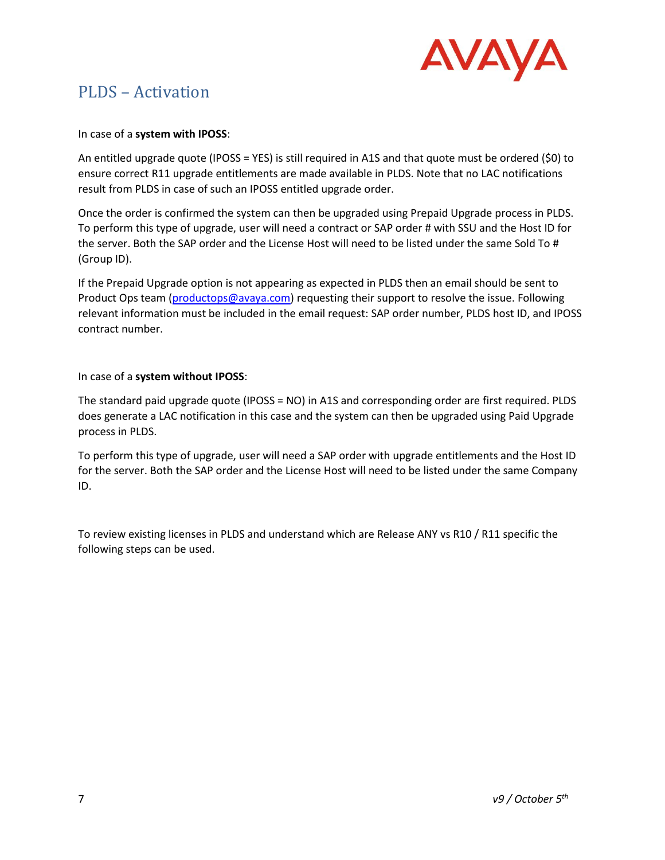

## <span id="page-6-0"></span>PLDS – Activation

#### In case of a **system with IPOSS**:

An entitled upgrade quote (IPOSS = YES) is still required in A1S and that quote must be ordered (\$0) to ensure correct R11 upgrade entitlements are made available in PLDS. Note that no LAC notifications result from PLDS in case of such an IPOSS entitled upgrade order.

Once the order is confirmed the system can then be upgraded using Prepaid Upgrade process in PLDS. To perform this type of upgrade, user will need a contract or SAP order # with SSU and the Host ID for the server. Both the SAP order and the License Host will need to be listed under the same Sold To # (Group ID).

If the Prepaid Upgrade option is not appearing as expected in PLDS then an email should be sent to Product Ops team [\(productops@avaya.com\)](mailto:productops@avaya.com) requesting their support to resolve the issue. Following relevant information must be included in the email request: SAP order number, PLDS host ID, and IPOSS contract number.

#### In case of a **system without IPOSS**:

The standard paid upgrade quote (IPOSS = NO) in A1S and corresponding order are first required. PLDS does generate a LAC notification in this case and the system can then be upgraded using Paid Upgrade process in PLDS.

To perform this type of upgrade, user will need a SAP order with upgrade entitlements and the Host ID for the server. Both the SAP order and the License Host will need to be listed under the same Company ID.

To review existing licenses in PLDS and understand which are Release ANY vs R10 / R11 specific the following steps can be used.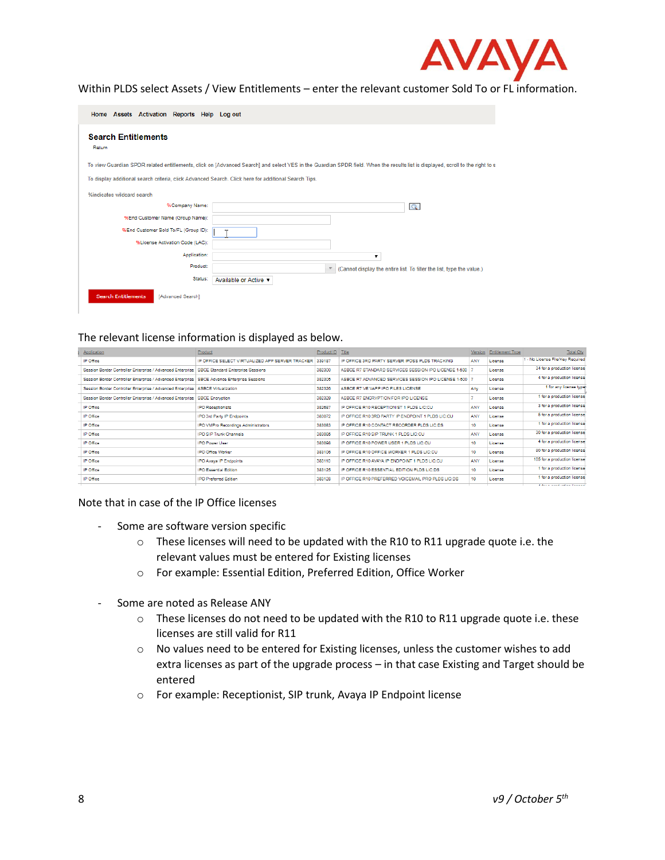

#### Within PLDS select Assets / View Entitlements – enter the relevant customer Sold To or FL information.

| Home Assets Activation Reports Help Log out                                                          |                                                                                                                                                                                |
|------------------------------------------------------------------------------------------------------|--------------------------------------------------------------------------------------------------------------------------------------------------------------------------------|
| <b>Search Entitlements</b><br>Return                                                                 |                                                                                                                                                                                |
|                                                                                                      | To view Guardian SPDR related entitlements, click on [Advanced Search] and select YES in the Guardian SPDR field. When the results list is displayed, scroll to the right to s |
| To display additional search criteria, click Advanced Search, Click here for additional Search Tips. |                                                                                                                                                                                |
| %indicates wildcard search                                                                           |                                                                                                                                                                                |
| %Company Name:                                                                                       | $\alpha$                                                                                                                                                                       |
| %End Customer Name (Group Name):                                                                     |                                                                                                                                                                                |
| %End Customer Sold To/FL (Group ID):                                                                 |                                                                                                                                                                                |
| %License Activation Code (LAC):                                                                      |                                                                                                                                                                                |
| Application:                                                                                         | 7                                                                                                                                                                              |
| Product:                                                                                             | * (Cannot display the entire list. To filter the list, type the value.)                                                                                                        |
| Status:                                                                                              | Available or Active ▼                                                                                                                                                          |
| <b>Search Entitlements</b><br>[Advanced Search]                                                      |                                                                                                                                                                                |

#### The relevant license information is displayed as below.

| Application                                                                                   | Product                                         | Product ID Title |                                                        | Version    | <b>Entitlement Type</b> | Total Qty                        |
|-----------------------------------------------------------------------------------------------|-------------------------------------------------|------------------|--------------------------------------------------------|------------|-------------------------|----------------------------------|
| IP Office                                                                                     | IP OFFICE SELECT VIRTUALIZED APP SERVER TRACKER | 339187           | IP OFFICE 3RD PARTY SERVER IPOSS PLDS TRACKING         | ANY        | License                 | 1 - No License File/Key Required |
| Session Border Controller Enterprise / Advanced Enterprise                                    | <b>SBCE Standard Enterprise Sessions</b>        | 382300           | ASBCE R7 STANDARD SERVICES SESSION IPO LICENSE 1-500 7 |            | License                 | 34 for a production license      |
| Session Border Controller Enterprise / Advanced Enterprise   SBCE Advance Enterprise Sessions |                                                 | 382305           | ASBCE R7 ADVANCED SERVICES SESSION IPO LICENSE 1-500 7 |            | License                 | 4 for a production license       |
| Session Border Controller Enterprise / Advanced Enterprise                                    | <b>ASBCE Virtualization</b>                     | 382326           | ASBCE R7 VE VAPP IPO FILES LICENSE                     | Any        | License                 | 1 for any license type           |
| Session Border Controller Enterprise / Advanced Enterprise   SBCE Encryption                  |                                                 | 382329           | ASBCE R7 ENCRYPTION FOR IPO LICENSE                    |            | License                 | 1 for a production license       |
| IP Office                                                                                     | <b>PO</b> Receptionists                         | 382687           | IP OFFICE R10 RECEPTIONIST 1 PLDS LIC:CU               | <b>ANY</b> | License                 | 3 for a production license       |
| IP Office                                                                                     | IPO 3rd Party IP Endpoints                      | 383072           | IP OFFICE R10 3RD PARTY IP ENDPOINT 1 PLDS LIC:CU      | ANY        | License                 | 5 for a production license       |
| IP Office                                                                                     | IPO VMPro Recordings Administrators             | 383083           | IP OFFICE R10 CONTACT RECORDER PLDS LIC:DS             | 10         | License                 | 1 for a production license       |
| IP Office                                                                                     | <b>IPO SIP Trunk Channels</b>                   | 383085           | IP OFFICE R10 SIP TRUNK 1 PLDS LIC:CU                  | ANY        | License                 | 30 for a production license      |
| IP Office                                                                                     | <b>PO Power User</b>                            | 383098           | IP OFFICE R10 POWER USER 1 PLDS LIC:CU.                | 10         | License                 | 4 for a production license       |
| IP Office                                                                                     | IPO Office Worker                               | 383106           | IP OFFICE R10 OFFICE WORKER 1 PLDS LIC:CU              | 10         | License                 | 90 for a production license      |
| IP Office                                                                                     | <b>IPO Avava IP Endpoints</b>                   | 383110           | IP OFFICE R10 AVAYA IP ENDPOINT 1 PLDS LIC:CU          | ANY        | License                 | 105 for a production license     |
| IP Office                                                                                     | <b>PO Essential Edition</b>                     | 383125           | IP OFFICE R10 ESSENTIAL EDITION PLDS LIC:DS            | 10         | License                 | 1 for a production license       |
| IP Office                                                                                     | <b>PO Preferred Edition</b>                     | 383128           | IP OFFICE R10 PREFERRED VOICEMAIL PRO PLDS LIC:DS      | 10         | License                 | 1 for a production license       |
|                                                                                               |                                                 |                  |                                                        |            |                         |                                  |

Note that in case of the IP Office licenses

- Some are software version specific
	- $\circ$  These licenses will need to be updated with the R10 to R11 upgrade quote i.e. the relevant values must be entered for Existing licenses
	- o For example: Essential Edition, Preferred Edition, Office Worker
- Some are noted as Release ANY
	- $\circ$  These licenses do not need to be updated with the R10 to R11 upgrade quote i.e. these licenses are still valid for R11
	- $\circ$  No values need to be entered for Existing licenses, unless the customer wishes to add extra licenses as part of the upgrade process – in that case Existing and Target should be entered
	- o For example: Receptionist, SIP trunk, Avaya IP Endpoint license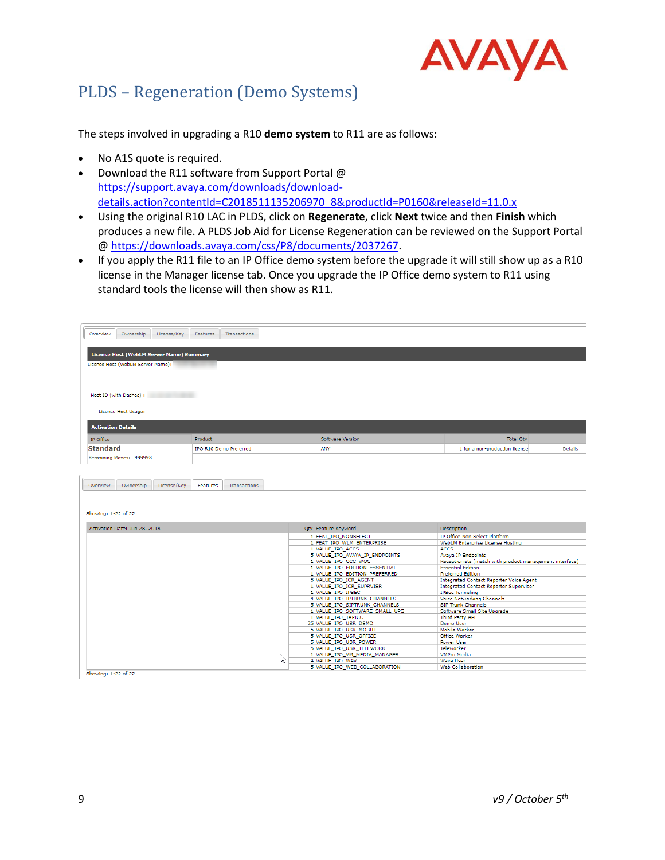

## <span id="page-8-0"></span>PLDS – Regeneration (Demo Systems)

The steps involved in upgrading a R10 **demo system** to R11 are as follows:

- No A1S quote is required.
- Download the R11 software from Support Portal @ [https://support.avaya.com/downloads/download](https://urldefense.proofpoint.com/v2/url?u=https-3A__support.avaya.com_downloads_download-2Ddetails.action-3FcontentId-3DC2018511135206970-5F8-26productId-3DP0160-26releaseId-3D11.0.x&d=DwMFAg&c=BFpWQw8bsuKpl1SgiZH64Q&r=3VU2BLW4AsC_N-cbwLKB7aX9E1JWkfhdVcUPdHG7HAk&m=c-U4ZeJRZf4QpSiBz8z1VfNu635VQ037M5BcLCb_UD0&s=yk-CnCazyvtG1Mjy12wQZ1dBKOnANSQZMh4tMWkV1XU&e=)[details.action?contentId=C2018511135206970\\_8&productId=P0160&releaseId=11.0.x](https://urldefense.proofpoint.com/v2/url?u=https-3A__support.avaya.com_downloads_download-2Ddetails.action-3FcontentId-3DC2018511135206970-5F8-26productId-3DP0160-26releaseId-3D11.0.x&d=DwMFAg&c=BFpWQw8bsuKpl1SgiZH64Q&r=3VU2BLW4AsC_N-cbwLKB7aX9E1JWkfhdVcUPdHG7HAk&m=c-U4ZeJRZf4QpSiBz8z1VfNu635VQ037M5BcLCb_UD0&s=yk-CnCazyvtG1Mjy12wQZ1dBKOnANSQZMh4tMWkV1XU&e=)
- Using the original R10 LAC in PLDS, click on **Regenerate**, click **Next** twice and then **Finish** which produces a new file. A PLDS Job Aid for License Regeneration can be reviewed on the Support Portal @ [https://downloads.avaya.com/css/P8/documents/2037267.](https://downloads.avaya.com/css/P8/documents/2037267)
- If you apply the R11 file to an IP Office demo system before the upgrade it will still show up as a R10 license in the Manager license tab. Once you upgrade the IP Office demo system to R11 using standard tools the license will then show as R11.

| Ownership<br>License/Kev<br>Overview                             | Features<br>Transactions        |    |                                                   |                                                         |                |
|------------------------------------------------------------------|---------------------------------|----|---------------------------------------------------|---------------------------------------------------------|----------------|
|                                                                  |                                 |    |                                                   |                                                         |                |
| License Host (WebLM Server Name) Summary                         |                                 |    |                                                   |                                                         |                |
|                                                                  |                                 |    |                                                   |                                                         |                |
| License Host (WebLM Server Name):                                |                                 |    |                                                   |                                                         |                |
|                                                                  |                                 |    |                                                   |                                                         |                |
|                                                                  |                                 |    |                                                   |                                                         |                |
|                                                                  |                                 |    |                                                   |                                                         |                |
| Host ID (with Dashes) :                                          |                                 |    |                                                   |                                                         |                |
|                                                                  |                                 |    |                                                   |                                                         |                |
| License Host Usage:                                              |                                 |    |                                                   |                                                         |                |
|                                                                  |                                 |    |                                                   |                                                         |                |
| <b>Activation Details</b>                                        |                                 |    |                                                   |                                                         |                |
| IP Office                                                        | Product                         |    | Software Version                                  | <b>Total Oty</b>                                        |                |
| <b>Standard</b>                                                  | <b>IPO R10 Demo Preferred</b>   |    | ANY                                               | 1 for a non-production license                          | <b>Details</b> |
| Remaining Moves: 999998                                          |                                 |    |                                                   |                                                         |                |
|                                                                  |                                 |    |                                                   |                                                         |                |
| Ownership<br>License/Key                                         | Features<br><b>Transactions</b> |    |                                                   |                                                         |                |
|                                                                  |                                 |    |                                                   |                                                         |                |
|                                                                  |                                 |    | Qty Feature Keyword                               | Description                                             |                |
|                                                                  |                                 |    | 1 FEAT IPO NONSELECT                              | IP Office Non Select Platform                           |                |
|                                                                  |                                 |    | 1 FEAT IPO WLM ENTERPRISE                         | WebLM Enterprise License Hosting                        |                |
|                                                                  |                                 |    | 1 VALUE IPO ACCS                                  | <b>ACCS</b>                                             |                |
|                                                                  |                                 |    | 5 VALUE IPO AVAYA IP ENDPOINTS                    | Avaya IP Endpoints                                      |                |
|                                                                  |                                 |    | 1 VALUE IPO CCC WOC                               | Receptionists (match with product management interface) |                |
|                                                                  |                                 |    | 1 VALUE IPO EDITION ESSENTIAL                     | <b>Essential Edition</b>                                |                |
|                                                                  |                                 |    | 1 VALUE IPO EDITION PREFERRED                     | <b>Preferred Edition</b>                                |                |
|                                                                  |                                 |    | 5 VALUE IPO ICR AGENT                             | Integrated Contact Reporter Voice Agent                 |                |
|                                                                  |                                 |    | 1 VALUE_IPO_ICR_SUPRVISR                          | <b>Integrated Contact Reporter Supervisor</b>           |                |
|                                                                  |                                 |    | 1 VALUE IPO IPSEC<br>4 VALUE IPO IPTRUNK CHANNELS | <b>IPSec Tunneling</b><br>Voice Networking Channels     |                |
|                                                                  |                                 |    | 5 VALUE_IPO_SIPTRUNK_CHANNELS                     | <b>SIP Trunk Channels</b>                               |                |
|                                                                  |                                 |    | 1 VALUE IPO SOFTWARE SMALL UPG                    | Software Small Site Upgrade                             |                |
|                                                                  |                                 |    | 1 VALUE IPO TAPICC                                | Third Party API                                         |                |
|                                                                  |                                 |    | 25 VALUE IPO USR DEMO                             | Demo User                                               |                |
|                                                                  |                                 |    | 5 VALUE IPO USR MOBILE                            | Mobile Worker                                           |                |
|                                                                  |                                 |    | 5 VALUE IPO USR OFFICE                            | Office Worker                                           |                |
| Overview<br>Showing: 1-22 of 22<br>Activation Date: Jun 28, 2018 |                                 |    | 5 VALUE_IPO_USR_POWER                             | <b>Power User</b>                                       |                |
|                                                                  |                                 |    | 5 VALUE_IPO_USR_TELEWORK                          | Teleworker                                              |                |
|                                                                  |                                 | L) | 1 VALUE IPO VM MEDIA MANAGER<br>4 VALUE IPO WAV   | <b>VMPro Media</b><br>Wave User                         |                |

Showing: 1-22 of 22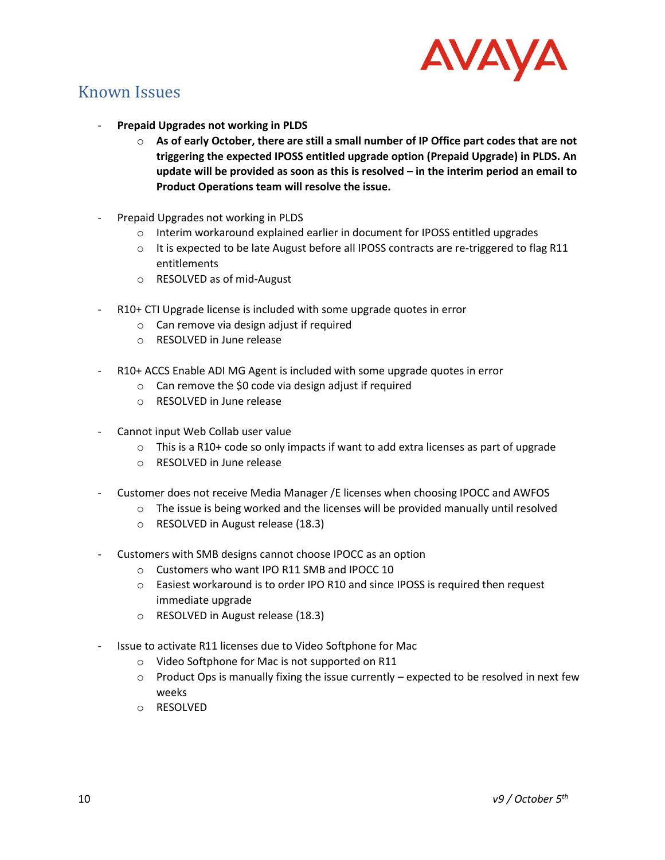

## <span id="page-9-0"></span>Known Issues

- **Prepaid Upgrades not working in PLDS**
	- o **As of early October, there are still a small number of IP Office part codes that are not triggering the expected IPOSS entitled upgrade option (Prepaid Upgrade) in PLDS. An update will be provided as soon as this is resolved – in the interim period an email to Product Operations team will resolve the issue.**
- Prepaid Upgrades not working in PLDS
	- o Interim workaround explained earlier in document for IPOSS entitled upgrades
	- $\circ$  It is expected to be late August before all IPOSS contracts are re-triggered to flag R11 entitlements
	- o RESOLVED as of mid-August
- R10+ CTI Upgrade license is included with some upgrade quotes in error
	- o Can remove via design adjust if required
	- o RESOLVED in June release
- R10+ ACCS Enable ADI MG Agent is included with some upgrade quotes in error
	- o Can remove the \$0 code via design adjust if required
	- o RESOLVED in June release
- Cannot input Web Collab user value
	- $\circ$  This is a R10+ code so only impacts if want to add extra licenses as part of upgrade
	- o RESOLVED in June release
- Customer does not receive Media Manager /E licenses when choosing IPOCC and AWFOS
	- $\circ$  The issue is being worked and the licenses will be provided manually until resolved
	- o RESOLVED in August release (18.3)
- Customers with SMB designs cannot choose IPOCC as an option
	- o Customers who want IPO R11 SMB and IPOCC 10
	- o Easiest workaround is to order IPO R10 and since IPOSS is required then request immediate upgrade
	- o RESOLVED in August release (18.3)
- Issue to activate R11 licenses due to Video Softphone for Mac
	- o Video Softphone for Mac is not supported on R11
	- $\circ$  Product Ops is manually fixing the issue currently expected to be resolved in next few weeks
	- o RESOLVED